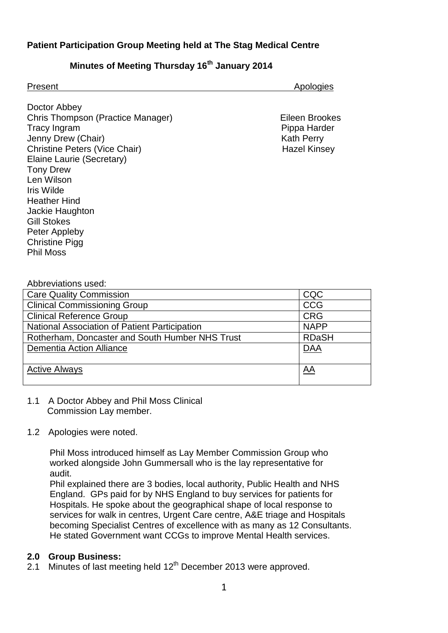## **Patient Participation Group Meeting held at The Stag Medical Centre**

# **Minutes of Meeting Thursday 16th January 2014**

| Present                                           | Apologies           |
|---------------------------------------------------|---------------------|
| Doctor Abbey<br>Chris Thompson (Practice Manager) | Eileen Brookes      |
| <b>Tracy Ingram</b>                               | Pippa Harder        |
| Jenny Drew (Chair)                                | <b>Kath Perry</b>   |
| <b>Christine Peters (Vice Chair)</b>              | <b>Hazel Kinsey</b> |
| Elaine Laurie (Secretary)                         |                     |
| <b>Tony Drew</b>                                  |                     |

Abbreviations used:

Len Wilson Iris Wilde Heather Hind Jackie Haughton

Gill Stokes Peter Appleby Christine Pigg Phil Moss

| <b>Care Quality Commission</b>                  | CQC          |
|-------------------------------------------------|--------------|
| <b>Clinical Commissioning Group</b>             | <b>CCG</b>   |
| <b>Clinical Reference Group</b>                 | <b>CRG</b>   |
| National Association of Patient Participation   | <b>NAPP</b>  |
| Rotherham, Doncaster and South Humber NHS Trust | <b>RDaSH</b> |
| <b>Dementia Action Alliance</b>                 | <b>DAA</b>   |
|                                                 |              |
| <b>Active Always</b>                            | <u>AA</u>    |
|                                                 |              |

#### 1.1 A Doctor Abbey and Phil Moss Clinical Commission Lay member.

#### 1.2 Apologies were noted.

 Phil Moss introduced himself as Lay Member Commission Group who worked alongside John Gummersall who is the lay representative for audit.

 Phil explained there are 3 bodies, local authority, Public Health and NHS England. GPs paid for by NHS England to buy services for patients for Hospitals. He spoke about the geographical shape of local response to services for walk in centres, Urgent Care centre, A&E triage and Hospitals becoming Specialist Centres of excellence with as many as 12 Consultants. He stated Government want CCGs to improve Mental Health services.

#### **2.0 Group Business:**

2.1 Minutes of last meeting held 12<sup>th</sup> December 2013 were approved.